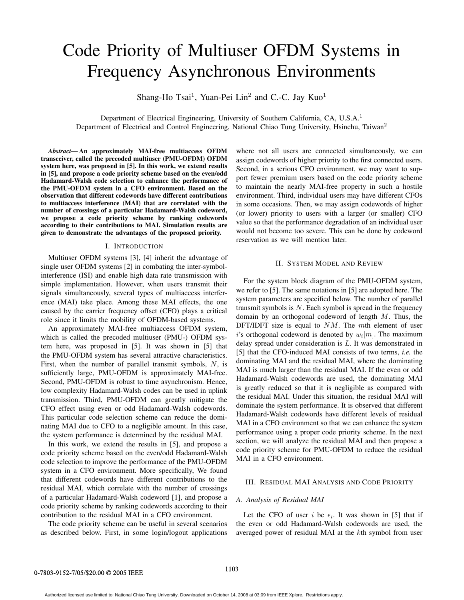# Code Priority of Multiuser OFDM Systems in Frequency Asynchronous Environments

Shang-Ho Tsai<sup>1</sup>, Yuan-Pei Lin<sup>2</sup> and C.-C. Jay Kuo<sup>1</sup>

Department of Electrical Engineering, University of Southern California, CA, U.S.A.<sup>1</sup> Department of Electrical and Control Engineering, National Chiao Tung University, Hsinchu, Taiwan<sup>2</sup>

*Abstract***— An approximately MAI-free multiaccess OFDM transceiver, called the precoded multiuser (PMU-OFDM) OFDM system here, was proposed in [5]. In this work, we extend results in [5], and propose a code priority scheme based on the even/odd Hadamard-Walsh code selection to enhance the performance of the PMU-OFDM system in a CFO environment. Based on the observation that different codewords have different contributions to multiaccess interference (MAI) that are correlated with the number of crossings of a particular Hadamard-Walsh codeword, we propose a code priority scheme by ranking codewords according to their contributions to MAI. Simulation results are given to demonstrate the advantages of the proposed priority.**

# I. INTRODUCTION

Multiuser OFDM systems [3], [4] inherit the advantage of single user OFDM systems [2] in combating the inter-symbolinterference (ISI) and enable high data rate transmission with simple implementation. However, when users transmit their signals simultaneously, several types of multiaccess interference (MAI) take place. Among these MAI effects, the one caused by the carrier frequency offset (CFO) plays a critical role since it limits the mobility of OFDM-based systems.

An approximately MAI-free multiaccess OFDM system, which is called the precoded multiuser (PMU-) OFDM system here, was proposed in [5]. It was shown in [5] that the PMU-OFDM system has several attractive characteristics. First, when the number of parallel transmit symbols,  $N$ , is sufficiently large, PMU-OFDM is approximately MAI-free. Second, PMU-OFDM is robust to time asynchronism. Hence, low complexity Hadamard-Walsh codes can be used in uplink transmission. Third, PMU-OFDM can greatly mitigate the CFO effect using even or odd Hadamard-Walsh codewords. This particular code selection scheme can reduce the dominating MAI due to CFO to a negligible amount. In this case, the system performance is determined by the residual MAI.

In this work, we extend the results in [5], and propose a code priority scheme based on the even/odd Hadamard-Walsh code selection to improve the performance of the PMU-OFDM system in a CFO environment. More specifically, We found that different codewords have different contributions to the residual MAI, which correlate with the number of crossings of a particular Hadamard-Walsh codeword [1], and propose a code priority scheme by ranking codewords according to their contribution to the residual MAI in a CFO environment.

The code priority scheme can be useful in several scenarios as described below. First, in some login/logout applications

where not all users are connected simultaneously, we can assign codewords of higher priority to the first connected users. Second, in a serious CFO environment, we may want to support fewer premium users based on the code priority scheme to maintain the nearly MAI-free property in such a hostile environment. Third, individual users may have different CFOs in some occasions. Then, we may assign codewords of higher (or lower) priority to users with a larger (or smaller) CFO value so that the performance degradation of an individual user would not become too severe. This can be done by codeword reservation as we will mention later.

#### II. SYSTEM MODEL AND REVIEW

For the system block diagram of the PMU-OFDM system, we refer to [5]. The same notations in [5] are adopted here. The system parameters are specified below. The number of parallel transmit symbols is  $N$ . Each symbol is spread in the frequency domain by an orthogonal codeword of length M. Thus, the DFT/IDFT size is equal to  $NM$ . The mth element of user i's orthogonal codeword is denoted by  $w_i[m]$ . The maximum delay spread under consideration is L. It was demonstrated in [5] that the CFO-induced MAI consists of two terms, *i.e.* the dominating MAI and the residual MAI, where the dominating MAI is much larger than the residual MAI. If the even or odd Hadamard-Walsh codewords are used, the dominating MAI is greatly reduced so that it is negligible as compared with the residual MAI. Under this situation, the residual MAI will dominate the system performance. It is observed that different Hadamard-Walsh codewords have different levels of residual MAI in a CFO environment so that we can enhance the system performance using a proper code priority scheme. In the next section, we will analyze the residual MAI and then propose a code priority scheme for PMU-OFDM to reduce the residual MAI in a CFO environment.

#### III. RESIDUAL MAI ANALYSIS AND CODE PRIORITY

#### *A. Analysis of Residual MAI*

Let the CFO of user i be  $\epsilon_i$ . It was shown in [5] that if the even or odd Hadamard-Walsh codewords are used, the averaged power of residual MAI at the kth symbol from user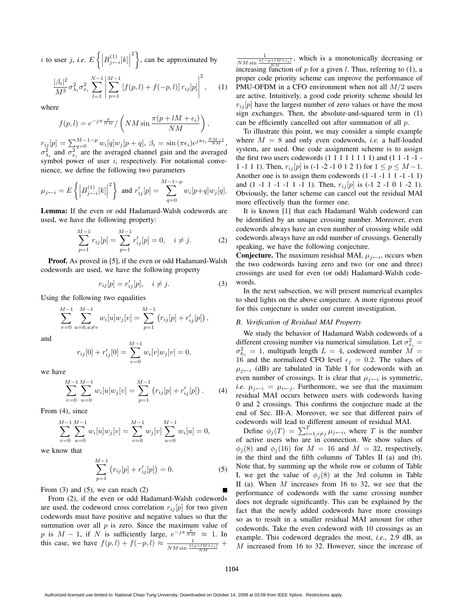*i* to user *j*, *i.e.*  $E\left\{ \left| B_{j \leftarrow i}^{(1)}[k] \right| \right\}$  $\{2\}$ , can be approximated by

$$
\frac{|\beta_i|^2}{M^2} \sigma_{\lambda_i}^2 \sigma_{x_i}^2 \sum_{l=1}^{N-1} \left| \sum_{p=1}^{M-1} \left[ f(p,l) + f(-p,l) \right] r_{ij}[p] \right|^2, \quad (1)
$$

where

$$
f(p,l) = e^{-j\pi \frac{p}{NM}} / \left( NM \sin \frac{\pi (p + lM + \epsilon_i)}{NM} \right),
$$

 $r_{ij}[p] = \sum_{q=0}^{M-1-p} w_i[q] w_j[p+q], \ \beta_i = \sin(\pi \epsilon_i) e^{j \pi \epsilon_i \frac{NM-1}{NM}},$  $\sigma_{\lambda_i}^2$  and  $\sigma_{x_i}^2$  are the averaged channel gain and the averaged symbol power of user i, respectively. For notational convenience, we define the following two parameters

$$
\mu_{j \leftarrow i} = E\left\{ \left| B_{j \leftarrow i}^{(1)}[k] \right|^2 \right\} \text{ and } r'_{ij}[p] = \sum_{q=0}^{M-1-p} w_i[p+q]w_j[q].
$$

**Lemma:** If the even or odd Hadamard-Walsh codewords are used, we have the following property:

$$
\sum_{p=1}^{M-1} r_{ij}[p] = \sum_{p=1}^{M-1} r'_{ij}[p] = 0, \quad i \neq j.
$$
 (2)

**Proof.** As proved in [5], if the even or odd Hadamard-Walsh codewords are used, we have the following property

$$
r_{ij}[p] = r'_{ij}[p], \quad i \neq j. \tag{3}
$$

Using the following two equalities

$$
\sum_{v=0}^{M-1} \sum_{u=0, u \neq v}^{M-1} w_i[u] w_j[v] = \sum_{p=1}^{M-1} (r_{ij}[p] + r'_{ij}[p]),
$$

and

$$
r_{ij}[0] + r'_{ij}[0] = \sum_{v=0}^{M-1} w_i[v]w_j[v] = 0,
$$

we have

$$
\sum_{v=0}^{M-1} \sum_{u=0}^{M-1} w_i[u]w_j[v] = \sum_{p=1}^{M-1} (r_{ij}[p] + r'_{ij}[p]). \tag{4}
$$

From (4), since

$$
\sum_{v=0}^{M-1} \sum_{u=0}^{M-1} w_i[u]w_j[v] = \sum_{v=0}^{M-1} w_j[v] \sum_{u=0}^{M-1} w_i[u] = 0,
$$

we know that

$$
\sum_{p=1}^{M-1} (r_{ij}[p] + r'_{ij}[p]) = 0.
$$
 (5)

From  $(3)$  and  $(5)$ , we can reach  $(2)$ 

From (2), if the even or odd Hadamard-Walsh codewords are used, the codeword cross correlation  $r_{ij}[p]$  for two given codewords must have positive and negative values so that the summation over all  $p$  is zero. Since the maximum value of p is  $M - 1$ , if N is sufficiently large,  $e^{-j\pi \frac{p}{NM}} \approx 1$ . In this case, we have  $f(p, l) + f(-p, l) \approx \frac{1}{NM \sin \frac{\pi (p + lM + \epsilon_i)}{NM}}$ 

 $\frac{1}{NM \sin \frac{\pi(-p+iM+\epsilon_i)}{NM}}$ , which is a monotonically decreasing or increasing function of  $p$  for a given l. Thus, referring to (1), a proper code priority scheme can improve the performance of PMU-OFDM in a CFO environment when not all  $M/2$  users are active. Intuitively, a good code priority scheme should let  $r_{ij}[p]$  have the largest number of zero values or have the most sign exchanges. Then, the absolute-and-squared term in (1) can be efficiently cancelled out after summation of all p.

To illustrate this point, we may consider a simple example where  $M = 8$  and only even codewords, *i.e.* a half-loaded system, are used. One code assignment scheme is to assign the first two users codewords (1 1 1 1 1 1 1 1) and (1 1 -1 -1 - 1 -1 1 1). Then,  $r_{ij}[p]$  is (-1 -2 -1 0 1 2 1) for  $1 \le p \le M-1$ . Another one is to assign them codewords (1 -1 -1 1 1 -1 -1 1) and  $(1 -1 1 -1 -1 1 -1 1)$ . Then,  $r_{ij}[p]$  is  $(-1 2 -1 0 1 -2 1)$ . Obviously, the latter scheme can cancel out the residual MAI more effectively than the former one.

It is known [1] that each Hadamard Walsh codeword can be identified by an unique crossing number. Moreover, even codewords always have an even number of crossing while odd codewords always have an odd number of crossings. Generally speaking, we have the following conjecture.

**Conjecture.** The maximum residual MAI,  $\mu_{i \leftarrow i}$ , occurs when the two codewords having zero and two (or one and three) crossings are used for even (or odd) Hadamard-Walsh codewords.

In the next subsection, we will present numerical examples to shed lights on the above conjecture. A more rigorous proof for this conjecture is under our current investigation.

# *B. Verification of Residual MAI Property*

We study the behavior of Hadamard Walsh codewords of a different crossing number via numerical simulation. Let  $\sigma_{x_i}^2 =$  $\sigma_{h_i}^2 = 1$ , multipath length  $L = 4$ , codeword number  $M =$ 16 and the normalized CFO level  $\epsilon_j = 0.2$ . The values of  $\mu_{i\leftarrow i}$  (dB) are tabulated in Table I for codewords with an even number of crossings. It is clear that  $\mu_{i \leftarrow i}$  is symmetric, *i.e.*  $\mu_{i \leftarrow i} = \mu_{i \leftarrow j}$ . Furthermore, we see that the maximum residual MAI occurs between users with codewords having 0 and 2 crossings. This confirms the conjecture made at the end of Sec. III-A. Moreover, we see that different pairs of codewords will lead to different amount of residual MAI.

Define  $\phi_j(T) = \sum_{i=1, i \neq j}^T \mu_{j-i}$ , where T is the number of active users who are in connection. We show values of  $\phi_i(8)$  and  $\phi_i(16)$  for  $M = 16$  and  $M = 32$ , respectively, in the third and the fifth columns of Tables II (a) and (b). Note that, by summing up the whole row or column of Table I, we get the value of  $\phi_i(8)$  at the 3rd column in Table II (a). When  $M$  increases from 16 to 32, we see that the performance of codewords with the same crossing number does not degrade significantly. This can be explained by the fact that the newly added codewords have more crossings so as to result in a smaller residual MAI amount for other codewords. Take the even codeword with 10 crossings as an example. This codeword degrades the most, *i.e.*, 2.9 dB, as M increased from 16 to 32. However, since the increase of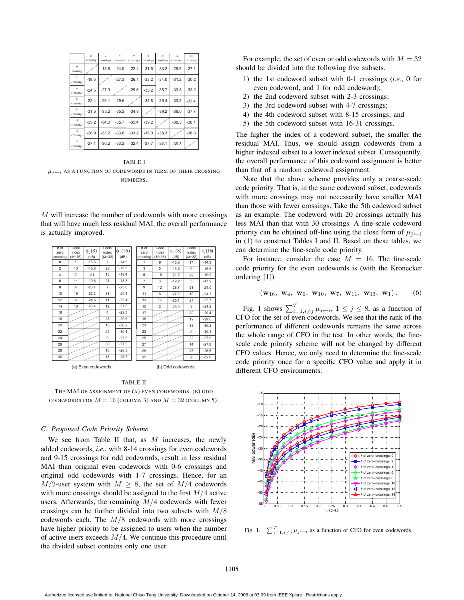|                             | $\Omega$<br>crossing | $\overline{\phantom{a}}$<br>crossings | $\overline{4}$<br>crossings | 6<br>crossings | $\mathbf{\hat{x}}$<br>crossings | 10<br>crossings | 12<br>crossings | 14<br>crossings |
|-----------------------------|----------------------|---------------------------------------|-----------------------------|----------------|---------------------------------|-----------------|-----------------|-----------------|
| $\Omega$<br>crossing        |                      | $-18.5$                               | $-24.5$                     | $-22.4$        | $-31.5$                         | $-33.2$         | $-28.9$         | $-27.1$         |
| $\overline{2}$<br>crossings | $-18.5$              |                                       | $-27.3$                     | $-26.1$        | $-33.2$                         | $-34.0$         | $-31.2$         | $-30.2$         |
| $\overline{4}$<br>crossings | $-24.5$              | $-27.3$                               |                             | $-29.6$        | $-35.2$                         | $-35.7$         | $-33.8$         | $-33.2$         |
| 6<br>crossings              | $-22.4$              | $-26.1$                               | $-29.6$                     |                | $-34.8$                         | $-35.4$         | $-33.2$         | $-32.4$         |
| $\mathbf{x}$<br>crossings   | $-31.5$              | $-33.2$                               | $-35.2$                     | $-34.8$        |                                 | $-39.2$         | $-38.0$         | $-37.7$         |
| 10<br>crossings             | $-33.2$              | $-34.0$                               | $-35.7$                     | $-35.4$        | $-39.2$                         |                 | $-38.3$         | $-38.1$         |
| 12<br>crossings             | $-28.9$              | $-31.2$                               | $-33.8$                     | $-33.2$        | $-38.0$                         | $-38.3$         |                 | $-36.3$         |
| 14<br>crossings             | $-27.1$              | $-30.2$                               | $-33.2$                     | $-32.4$        | $-37.7$                         | $-38.1$         | $-36.3$         |                 |

TABLE I  $\mu_{j \leftarrow i}$  AS A FUNCTION OF CODEWORDS IN TERM OF THEIR CROSSING NUMBERS.

M will increase the number of codewords with more crossings that will have much less residual MAI, the overall performance is actually improved.



TABLE II

THE MAI OF ASSIGNMENT OF (A) EVEN CODEWORDS, (B) ODD CODEWORDS FOR  $M = 16$  (COLUMN 3) AND  $M = 32$  (COLUMN 5).

#### *C. Proposed Code Priority Scheme*

We see from Table II that, as  $M$  increases, the newly added codewords, *i.e.*, with 8-14 crossings for even codewords and 9-15 crossings for odd codewords, result in less residual MAI than original even codewords with 0-6 crossings and original odd codewords with 1-7 crossings. Hence, for an  $M/2$ -user system with  $M \geq 8$ , the set of  $M/4$  codewords with more crossings should be assigned to the first  $M/4$  active users. Afterwards, the remaining  $M/4$  codewords with fewer crossings can be further divided into two subsets with  $M/8$ codewords each. The  $M/8$  codewords with more crossings have higher priority to be assigned to users when the number of active users exceeds  $M/4$ . We continue this procedure until the divided subset contains only one user.

For example, the set of even or odd codewords with  $M = 32$ should be divided into the following five subsets.

- 1) the 1st codeword subset with 0-1 crossings (*i.e.*, 0 for even codeword, and 1 for odd codeword);
- 2) the 2nd codeword subset with 2-3 crossings;
- 3) the 3rd codeword subset with 4-7 crossings;
- 4) the 4th codeword subset with 8-15 crossings; and
- 5) the 5th codeword subset with 16-31 crossings.

The higher the index of a codeword subset, the smaller the residual MAI. Thus, we should assign codewords from a higher indexed subset to a lower indexed subset. Consequently, the overall performance of this codeword assignment is better than that of a random codeword assignment.

Note that the above scheme provides only a coarse-scale code priority. That is, in the same codeword subset, codewords with more crossings may not necessarily have smaller MAI than those with fewer crossings. Take the 5th codeword subset as an example. The codeword with 20 crossings actually has less MAI than that with 30 crossings. A fine-scale codeword priority can be obtained off-line using the close form of  $\mu_{i \leftarrow i}$ in (1) to construct Tables I and II. Based on these tables, we can determine the fine-scale code priority.

For instance, consider the case  $M = 16$ . The fine-scale code priority for the even codewords is (with the Kronecker ordering [1])

$$
(\mathbf{w}_{16}, \mathbf{w}_4, \mathbf{w}_6, \mathbf{w}_{10}, \mathbf{w}_7, \mathbf{w}_{11}, \mathbf{w}_{13}, \mathbf{w}_1). \hspace{1cm} (6)
$$

Fig. 1 shows  $\sum_{i=1, i \neq j}^{T} \mu_{j-i}$ ,  $1 \leq j \leq 8$ , as a function of CFO for the set of even codewords. We see that the rank of the performance of different codewords remains the same across the whole range of CFO in the test. In other words, the finescale code priority scheme will not be changed by different CFO values. Hence, we only need to determine the fine-scale code priority once for a specific CFO value and apply it in different CFO environments.



Fig. 1.  $\sum_{i=1, i \neq j}^{T} \mu_{j \leftarrow i}$  as a function of CFO for even codewords.

1105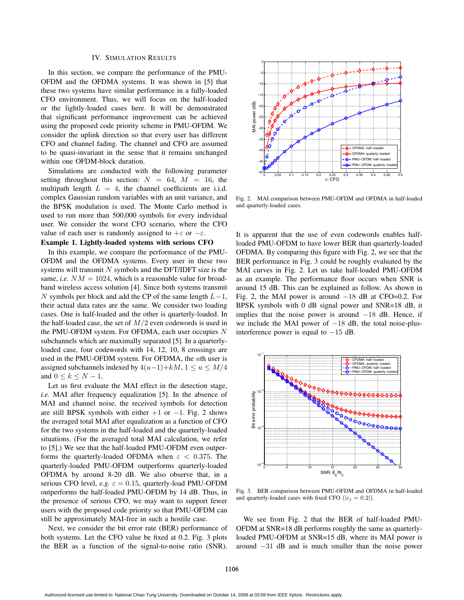#### IV. SIMULATION RESULTS

In this section, we compare the performance of the PMU-OFDM and the OFDMA systems. It was shown in [5] that these two systems have similar performance in a fully-loaded CFO environment. Thus, we will focus on the half-loaded or the lightly-loaded cases here. It will be demonstrated that significant performance improvement can be achieved using the proposed code priority scheme in PMU-OFDM. We consider the uplink direction so that every user has different CFO and channel fading. The channel and CFO are assumed to be quasi-invariant in the sense that it remains unchanged within one OFDM-block duration.

Simulations are conducted with the following parameter setting throughout this section:  $N = 64$ ,  $M = 16$ , the multipath length  $L = 4$ , the channel coefficients are i.i.d. complex Gaussian random variables with an unit variance, and the BPSK modulation is used. The Monte Carlo method is used to run more than 500,000 symbols for every individual user. We consider the worst CFO scenario, where the CFO value of each user is randomly assigned to  $+\varepsilon$  or  $-\varepsilon$ .

# **Example 1. Lightly-loaded systems with serious CFO**

In this example, we compare the performance of the PMU-OFDM and the OFDMA systems. Every user in these two systems will transmit  $N$  symbols and the DFT/IDFT size is the same, *i.e.*  $NM = 1024$ , which is a reasonable value for broadband wireless access solution [4]. Since both systems transmit N symbols per block and add the CP of the same length  $L-1$ , their actual data rates are the same. We consider two loading cases. One is half-loaded and the other is quarterly-loaded. In the half-loaded case, the set of  $M/2$  even codewords is used in the PMU-OFDM system. For OFDMA, each user occupies  $N$ subchannels which are maximally separated [5]. In a quarterlyloaded case, four codewords with 14, 12, 10, 8 crossings are used in the PMU-OFDM system. For OFDMA, the uth user is assigned subchannels indexed by  $4(u-1)+kM$ ,  $1 \le u \le M/4$ and  $0 \leq k \leq N-1$ .

Let us first evaluate the MAI effect in the detection stage, *i.e.* MAI after frequency equalization [5]. In the absence of MAI and channel noise, the received symbols for detection are still BPSK symbols with either  $+1$  or  $-1$ . Fig. 2 shows the averaged total MAI after equalization as a function of CFO for the two systems in the half-loaded and the quarterly-loaded situations. (For the averaged total MAI calculation, we refer to [5].) We see that the half-loaded PMU-OFDM even outperforms the quarterly-loaded OFDMA when  $\varepsilon < 0.375$ . The quarterly-loaded PMU-OFDM outperforms quarterly-loaded OFDMA by around 8-20 dB. We also observe that, in a serious CFO level,  $e.g. \varepsilon = 0.15$ , quarterly-load PMU-OFDM outperforms the half-loaded PMU-OFDM by 14 dB. Thus, in the presence of serious CFO, we may want to support fewer users with the proposed code priority so that PMU-OFDM can still be approximately MAI-free in such a hostile case.

Next, we consider the bit error rate (BER) performance of both systems. Let the CFO value be fixed at 0.2. Fig. 3 plots the BER as a function of the signal-to-noise ratio (SNR).



Fig. 2. MAI comparison between PMU-OFDM and OFDMA in half-loaded and quarterly-loaded cases.

It is apparent that the use of even codewords enables halfloaded PMU-OFDM to have lower BER than quarterly-loaded OFDMA. By comparing this figure with Fig. 2, we see that the BER performance in Fig. 3 could be roughly evaluated by the MAI curves in Fig. 2. Let us take half-loaded PMU-OFDM as an example. The performance floor occurs when SNR is around 15 dB. This can be explained as follow. As shown in Fig. 2, the MAI power is around −18 dB at CFO=0.2. For BPSK symbols with 0 dB signal power and SNR=18 dB, it implies that the noise power is around −18 dB. Hence, if we include the MAI power of  $-18$  dB, the total noise-plusinterference power is equal to  $-15$  dB.



Fig. 3. BER comparison between PMU-OFDM and OFDMA in half-loaded and quarterly-loaded cases with fixed CFO ( $|\epsilon_j = 0.2|$ ).

We see from Fig. 2 that the BER of half-loaded PMU-OFDM at SNR=18 dB performs roughly the same as quarterlyloaded PMU-OFDM at SNR=15 dB, where its MAI power is around −31 dB and is much smaller than the noise power